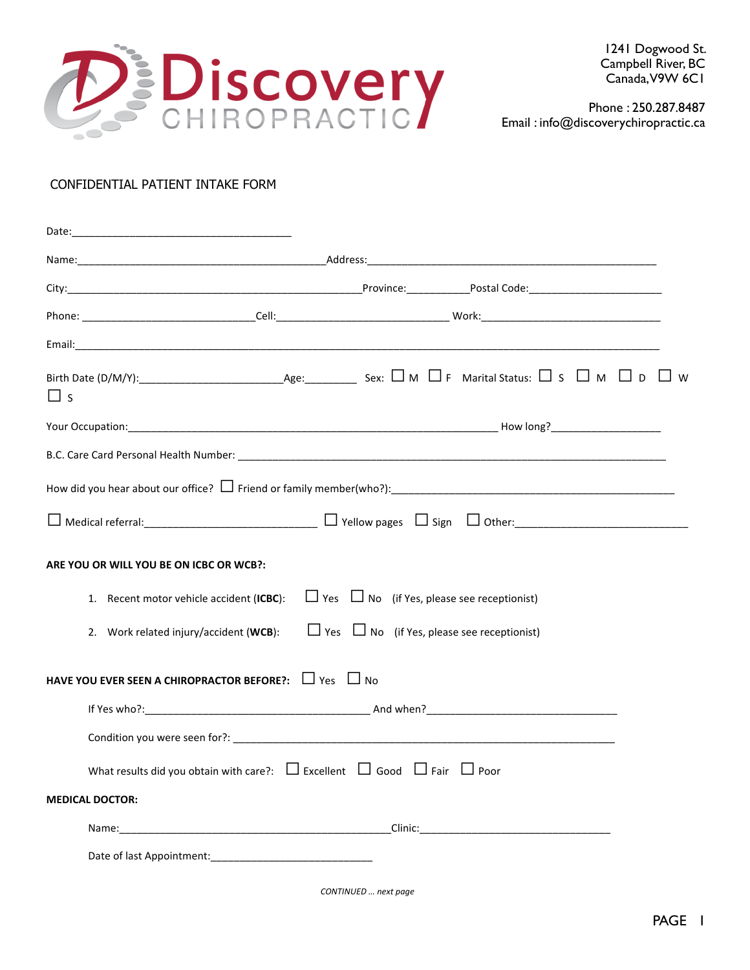

 Phone : 250.287.8487 Email : info@discoverychiropractic.ca

# CONFIDENTIAL PATIENT INTAKE FORM

| $\sqcup$ s                                                                                      |
|-------------------------------------------------------------------------------------------------|
|                                                                                                 |
|                                                                                                 |
|                                                                                                 |
|                                                                                                 |
| ARE YOU OR WILL YOU BE ON ICBC OR WCB?:                                                         |
| 1. Recent motor vehicle accident (ICBC): $\Box$ Yes $\Box$ No (if Yes, please see receptionist) |
| 2. Work related injury/accident (WCB): $\Box$ Yes $\Box$ No (if Yes, please see receptionist)   |
| <b>HAVE YOU EVER SEEN A CHIROPRACTOR BEFORE?:</b> $\Box$ Yes $\Box$ No                          |
|                                                                                                 |
|                                                                                                 |
| What results did you obtain with care?: $\Box$ Excellent $\Box$ Good $\Box$ Fair $\Box$ Poor    |
| <b>MEDICAL DOCTOR:</b>                                                                          |
|                                                                                                 |
|                                                                                                 |
|                                                                                                 |

*CONTINUED … next page*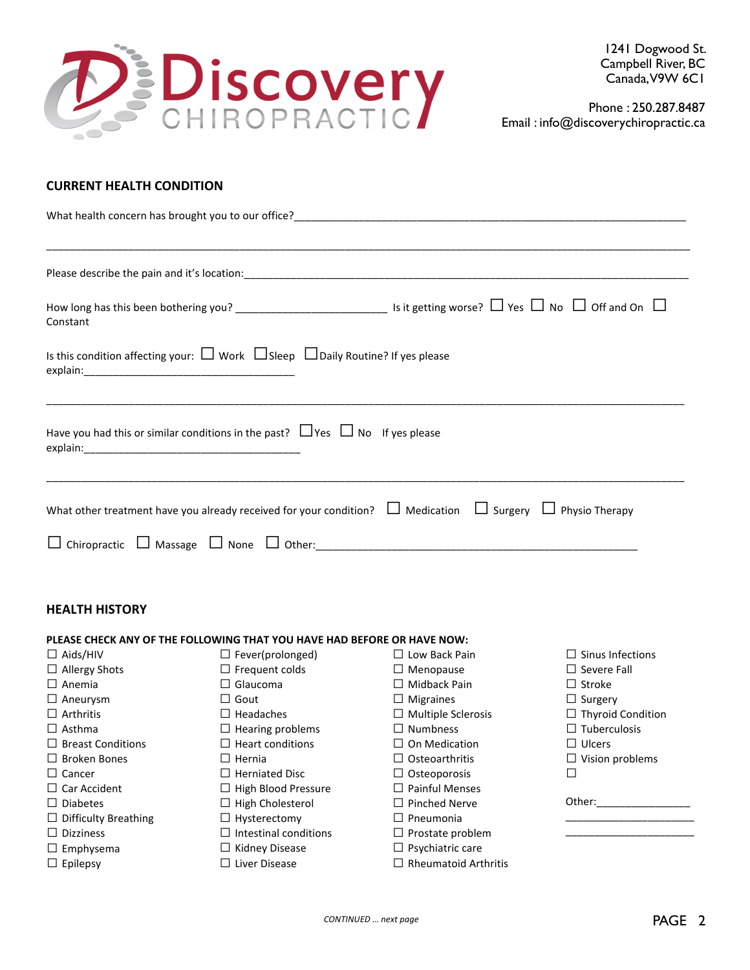

 Phone : 250.287.8487 Email : info@discoverychiropractic.ca

## **CURRENT
HEALTH
CONDITION**

| Constant                                                                                                                  |
|---------------------------------------------------------------------------------------------------------------------------|
| Is this condition affecting your: $\Box$ Work $\Box$ Sleep $\Box$ Daily Routine? If yes please                            |
| Have you had this or similar conditions in the past? $\Box$ Yes $\Box$ No If yes please                                   |
| What other treatment have you already received for your condition? $\Box$ Medication $\Box$ Surgery $\Box$ Physio Therapy |
|                                                                                                                           |

#### **HEALTH
HISTORY**

#### PLEASE CHECK ANY OF THE FOLLOWING THAT YOU HAVE HAD BEFORE OR HAVE NOW:  $\square$  Aids/HIV  $\Box$  Allergy Shots  $\square$  Anemia  $\square$  Aneurysm  $\square$  Arthritis  $\Box$  Asthma  $\Box$  Breast Conditions  $\Box$  Broken Bones  $\Box$  Cancer □ Car Accident  $\square$  Diabetes  $\Box$  Difficulty Breathing  $\square$  Dizziness  $\square$  Emphysema  $\square$  Epilepsy  $\Box$  Fever(prolonged)  $\Box$  Frequent colds  $\square$  Glaucoma  $\Box$  Gout  $\square$  Headaches  $\Box$  Hearing problems  $\Box$  Heart conditions  $\Box$  Hernia  $\Box$  Herniated Disc  $\Box$  High Blood Pressure  $\Box$  High Cholesterol  $\Box$  Hysterectomy  $\square$  Intestinal conditions  $\Box$  Kidney Disease □ Liver Disease □ Low Back Pain  $\square$  Menopause □ Midback Pain  $\square$  Migraines  $\square$  Multiple Sclerosis  $\Box$  Numbness  $\Box$  On Medication  $\Box$  Osteoarthritis  $\Box$  Osteoporosis  $\square$  Painful Menses  $\Box$  Pinched Nerve  $\square$  Pneumonia  $\Box$  Prostate problem  $\square$  Psychiatric care  $\Box$  Rheumatoid Arthritis  $\square$  Sinus Infections  $\square$  Severe Fall  $\square$  Stroke  $\Box$  Surgery  $\Box$  Thyroid Condition  $\square$  Tuberculosis  $\square$  Ulcers  $\Box$  Vision problems  $\Box$ Other: \_\_\_\_\_\_\_\_\_\_\_\_\_\_\_\_\_\_\_\_\_\_ \_\_\_\_\_\_\_\_\_\_\_\_\_\_\_\_\_\_\_\_\_\_